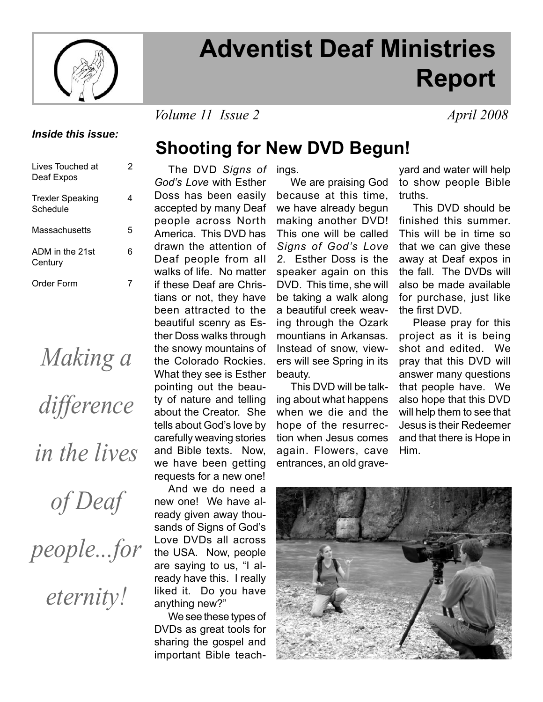

# **Adventist Deaf Ministries Report**

*Volume 11 Issue 2 April 2008* 

## *Inside this issue:*

| Lives Touched at<br>Deaf Expos      | 2 |
|-------------------------------------|---|
| <b>Trexler Speaking</b><br>Schedule | 4 |
| Massachusetts                       | 5 |
| ADM in the 21st<br>Century          | 6 |
| Order Form                          |   |

*Making a difference in the lives* 

*of Deaf* 

*people...for* 

*eternity!*

## **Shooting for New DVD Begun!**

 The DVD *Signs of*  ings. *God's Love* with Esther Doss has been easily accepted by many Deaf people across North America. This DVD has drawn the attention of Deaf people from all walks of life. No matter if these Deaf are Christians or not, they have been attracted to the beautiful scenry as Esther Doss walks through the snowy mountains of the Colorado Rockies. What they see is Esther pointing out the beauty of nature and telling about the Creator. She tells about God's love by carefully weaving stories and Bible texts. Now, we have been getting requests for a new one!

 And we do need a new one! We have already given away thousands of Signs of God's Love DVDs all across the USA. Now, people are saying to us, "I already have this. I really liked it. Do you have anything new?"

 We see these types of DVDs as great tools for sharing the gospel and important Bible teach-

We are praising God because at this time, we have already begun making another DVD! This one will be called *Signs of God's Love 2*. Esther Doss is the speaker again on this DVD. This time, she will be taking a walk along a beautiful creek weaving through the Ozark mountians in Arkansas. Instead of snow, viewers will see Spring in its beauty.

 This DVD will be talking about what happens when we die and the hope of the resurrection when Jesus comes again. Flowers, cave entrances, an old grave-

yard and water will help to show people Bible truths.

 This DVD should be finished this summer. This will be in time so that we can give these away at Deaf expos in the fall. The DVDs will also be made available for purchase, just like the first DVD.

 Please pray for this project as it is being shot and edited. We pray that this DVD will answer many questions that people have. We also hope that this DVD will help them to see that Jesus is their Redeemer and that there is Hope in Him.

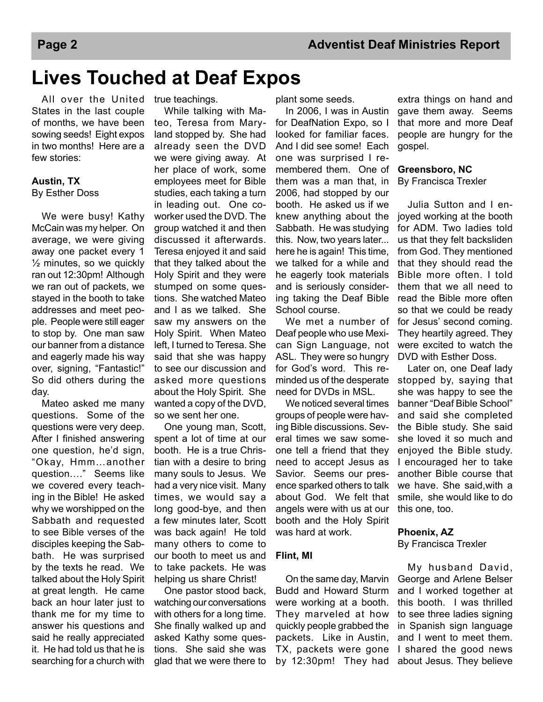# **Lives Touched at Deaf Expos**

All over the United true teachings. States in the last couple of months, we have been sowing seeds! Eight expos in two months! Here are a few stories:

### **Austin, TX** By Esther Doss

 We were busy! Kathy McCain was my helper. On average, we were giving away one packet every 1 ½ minutes, so we quickly ran out 12:30pm! Although we ran out of packets, we stayed in the booth to take addresses and meet people. People were still eager to stop by. One man saw our banner from a distance and eagerly made his way over, signing, "Fantastic!" So did others during the day.

 Mateo asked me many questions. Some of the questions were very deep. After I finished answering one question, he'd sign, "Okay, Hmm…another question…." Seems like we covered every teaching in the Bible! He asked why we worshipped on the Sabbath and requested to see Bible verses of the disciples keeping the Sabbath. He was surprised by the texts he read. We talked about the Holy Spirit at great length. He came back an hour later just to thank me for my time to answer his questions and said he really appreciated it. He had told us that he is searching for a church with

 While talking with Mateo, Teresa from Maryland stopped by. She had already seen the DVD we were giving away. At her place of work, some employees meet for Bible studies, each taking a turn in leading out. One coworker used the DVD. The group watched it and then discussed it afterwards. Teresa enjoyed it and said that they talked about the Holy Spirit and they were stumped on some questions. She watched Mateo and I as we talked. She saw my answers on the Holy Spirit. When Mateo left, I turned to Teresa. She said that she was happy to see our discussion and asked more questions about the Holy Spirit. She wanted a copy of the DVD, so we sent her one.

 One young man, Scott, spent a lot of time at our booth. He is a true Christian with a desire to bring many souls to Jesus. We had a very nice visit. Many times, we would say a long good-bye, and then a few minutes later, Scott was back again! He told many others to come to our booth to meet us and to take packets. He was helping us share Christ!

 One pastor stood back, watching our conversations with others for a long time. She finally walked up and asked Kathy some questions. She said she was glad that we were there to plant some seeds.

 In 2006, I was in Austin for DeafNation Expo, so I looked for familiar faces. And I did see some! Each one was surprised I remembered them. One of them was a man that, in 2006, had stopped by our booth. He asked us if we knew anything about the Sabbath. He was studying this. Now, two years later... here he is again! This time, we talked for a while and he eagerly took materials and is seriously considering taking the Deaf Bible School course.

 We met a number of Deaf people who use Mexican Sign Language, not ASL. They were so hungry for God's word. This reminded us of the desperate need for DVDs in MSL.

 We noticed several times groups of people were having Bible discussions. Several times we saw someone tell a friend that they need to accept Jesus as Savior. Seems our presence sparked others to talk about God. We felt that angels were with us at our booth and the Holy Spirit was hard at work.

## **Flint, MI**

 On the same day, Marvin Budd and Howard Sturm were working at a booth. They marveled at how quickly people grabbed the packets. Like in Austin, TX, packets were gone by 12:30pm! They had

extra things on hand and gave them away. Seems that more and more Deaf people are hungry for the gospel.

### **Greensboro, NC**

By Francisca Trexler

 Julia Sutton and I enjoyed working at the booth for ADM. Two ladies told us that they felt backsliden from God. They mentioned that they should read the Bible more often. I told them that we all need to read the Bible more often so that we could be ready for Jesus' second coming. They heartily agreed. They were excited to watch the DVD with Esther Doss.

 Later on, one Deaf lady stopped by, saying that she was happy to see the banner "Deaf Bible School" and said she completed the Bible study. She said she loved it so much and enjoyed the Bible study. I encouraged her to take another Bible course that we have. She said,with a smile, she would like to do this one, too.

### **Phoenix, AZ**

By Francisca Trexler

 My husband David, George and Arlene Belser and I worked together at this booth. I was thrilled to see three ladies signing in Spanish sign language and I went to meet them. I shared the good news about Jesus. They believe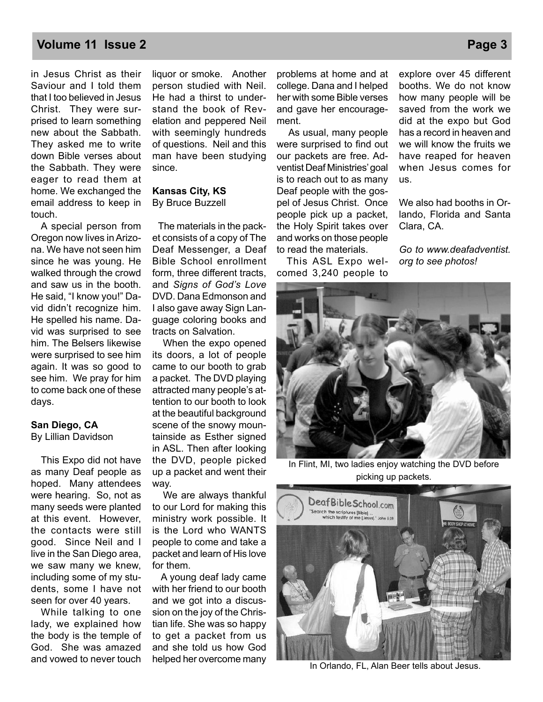## **Volume 11 Issue 2 Page 3**

in Jesus Christ as their Saviour and I told them that I too believed in Jesus Christ. They were surprised to learn something new about the Sabbath. They asked me to write down Bible verses about the Sabbath. They were eager to read them at home. We exchanged the email address to keep in touch.

 A special person from Oregon now lives in Arizona. We have not seen him since he was young. He walked through the crowd and saw us in the booth. He said, "I know you!" David didn't recognize him. He spelled his name. David was surprised to see him. The Belsers likewise were surprised to see him again. It was so good to see him. We pray for him to come back one of these days.

## **San Diego, CA**

By Lillian Davidson

 This Expo did not have as many Deaf people as hoped. Many attendees were hearing. So, not as many seeds were planted at this event. However, the contacts were still good. Since Neil and I live in the San Diego area, we saw many we knew, including some of my students, some I have not seen for over 40 years.

 While talking to one lady, we explained how the body is the temple of God. She was amazed and vowed to never touch liquor or smoke. Another person studied with Neil. He had a thirst to understand the book of Revelation and peppered Neil with seemingly hundreds of questions. Neil and this man have been studying since.

## **Kansas City, KS** By Bruce Buzzell

 The materials in the packet consists of a copy of The Deaf Messenger, a Deaf Bible School enrollment form, three different tracts, and *Signs of God's Love*  DVD. Dana Edmonson and I also gave away Sign Language coloring books and tracts on Salvation.

 When the expo opened its doors, a lot of people came to our booth to grab a packet. The DVD playing attracted many people's attention to our booth to look at the beautiful background scene of the snowy mountainside as Esther signed in ASL. Then after looking the DVD, people picked up a packet and went their way.

 We are always thankful to our Lord for making this ministry work possible. It is the Lord who WANTS people to come and take a packet and learn of His love for them.

 A young deaf lady came with her friend to our booth and we got into a discussion on the joy of the Christian life. She was so happy to get a packet from us and she told us how God helped her overcome many

problems at home and at college. Dana and I helped her with some Bible verses and gave her encouragement.

 As usual, many people were surprised to find out our packets are free. Adventist Deaf Ministries' goal is to reach out to as many Deaf people with the gospel of Jesus Christ. Once people pick up a packet, the Holy Spirit takes over and works on those people to read the materials.

 This ASL Expo welcomed 3,240 people to

explore over 45 different booths. We do not know how many people will be saved from the work we did at the expo but God has a record in heaven and we will know the fruits we have reaped for heaven when Jesus comes for us.

We also had booths in Orlando, Florida and Santa Clara, CA.

*Go to www.deafadventist. org to see photos!*



In Flint, MI, two ladies enjoy watching the DVD before picking up packets.



In Orlando, FL, Alan Beer tells about Jesus.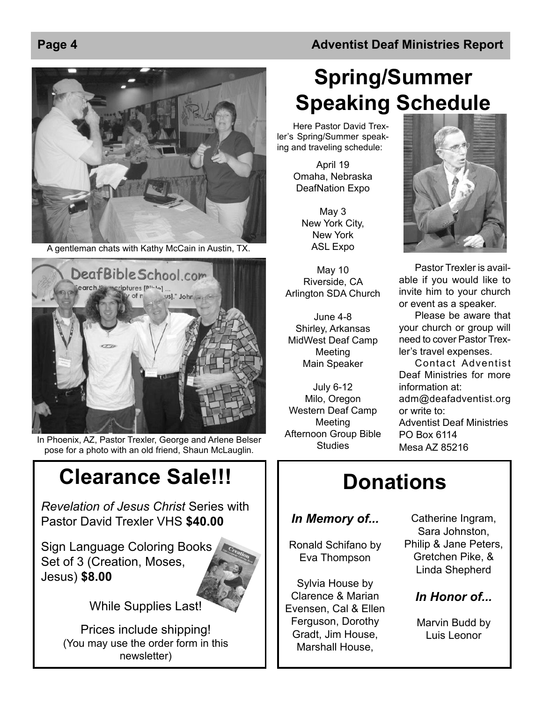A gentleman chats with Kathy McCain in Austin, TX.



In Phoenix, AZ, Pastor Trexler, George and Arlene Belser pose for a photo with an old friend, Shaun McLauglin.

# **Clearance Sale!!!**

*Revelation of Jesus Christ* Series with Pastor David Trexler VHS **\$40.00**

Sign Language Coloring Books Set of 3 (Creation, Moses, Jesus) **\$8.00**



While Supplies Last!

Prices include shipping! (You may use the order form in this newsletter)

# **Spring/Summer Speaking Schedule**

Here Pastor David Trexler's Spring/Summer speaking and traveling schedule:

> April 19 Omaha, Nebraska DeafNation Expo

May 3 New York City, New York ASL Expo

May 10 Riverside, CA Arlington SDA Church

June 4-8 Shirley, Arkansas MidWest Deaf Camp Meeting Main Speaker

July 6-12 Milo, Oregon Western Deaf Camp Meeting Afternoon Group Bible **Studies** 



Pastor Trexler is available if you would like to invite him to your church or event as a speaker.

Please be aware that your church or group will need to cover Pastor Trexler's travel expenses.

Contact Adventist Deaf Ministries for more information at: adm@deafadventist.org or write to: Adventist Deaf Ministries PO Box 6114 Mesa AZ 85216

# **Donations**

## *In Memory of...*

Ronald Schifano by Eva Thompson

Sylvia House by Clarence & Marian Evensen, Cal & Ellen Ferguson, Dorothy Gradt, Jim House, Marshall House,

Catherine Ingram, Sara Johnston, Philip & Jane Peters, Gretchen Pike, & Linda Shepherd

## *In Honor of...*

Marvin Budd by Luis Leonor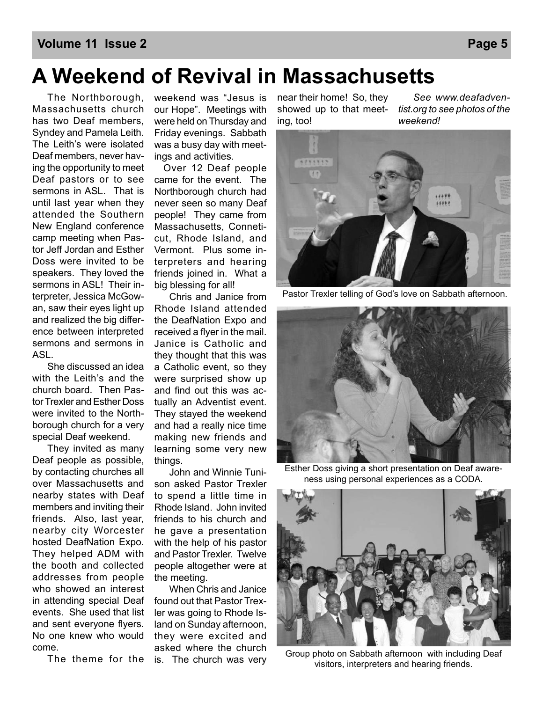## **Volume 11 Issue 2 Page 5**

# **A Weekend of Revival in Massachusetts**

 The Northborough, Massachusetts church has two Deaf members, Syndey and Pamela Leith. The Leith's were isolated Deaf members, never having the opportunity to meet Deaf pastors or to see sermons in ASL. That is until last year when they attended the Southern New England conference camp meeting when Pastor Jeff Jordan and Esther Doss were invited to be speakers. They loved the sermons in ASL! Their interpreter, Jessica McGowan, saw their eyes light up and realized the big difference between interpreted sermons and sermons in ASL.

 She discussed an idea with the Leith's and the church board. Then Pastor Trexler and Esther Doss were invited to the Northborough church for a very special Deaf weekend.

 They invited as many Deaf people as possible, by contacting churches all over Massachusetts and nearby states with Deaf members and inviting their friends. Also, last year, nearby city Worcester hosted DeafNation Expo. They helped ADM with the booth and collected addresses from people who showed an interest in attending special Deaf events. She used that list and sent everyone flyers. No one knew who would come.

weekend was "Jesus is our Hope". Meetings with were held on Thursday and Friday evenings. Sabbath was a busy day with meetings and activities.

 Over 12 Deaf people came for the event. The Northborough church had never seen so many Deaf people! They came from Massachusetts, Conneticut, Rhode Island, and Vermont. Plus some interpreters and hearing friends joined in. What a big blessing for all!

 Chris and Janice from Rhode Island attended the DeafNation Expo and received a flyer in the mail. Janice is Catholic and they thought that this was a Catholic event, so they were surprised show up and find out this was actually an Adventist event. They stayed the weekend and had a really nice time making new friends and learning some very new things.

 John and Winnie Tunison asked Pastor Trexler to spend a little time in Rhode Island. John invited friends to his church and he gave a presentation with the help of his pastor and Pastor Trexler. Twelve people altogether were at the meeting.

 The theme for the is. The church was very When Chris and Janice found out that Pastor Trexler was going to Rhode Island on Sunday afternoon, they were excited and asked where the church

near their home! So, they showed up to that meeting, too!

 *See www.deafadventist.org to see photos of the weekend!*



Pastor Trexler telling of God's love on Sabbath afternoon.



Esther Doss giving a short presentation on Deaf awareness using personal experiences as a CODA.



Group photo on Sabbath afternoon with including Deaf visitors, interpreters and hearing friends.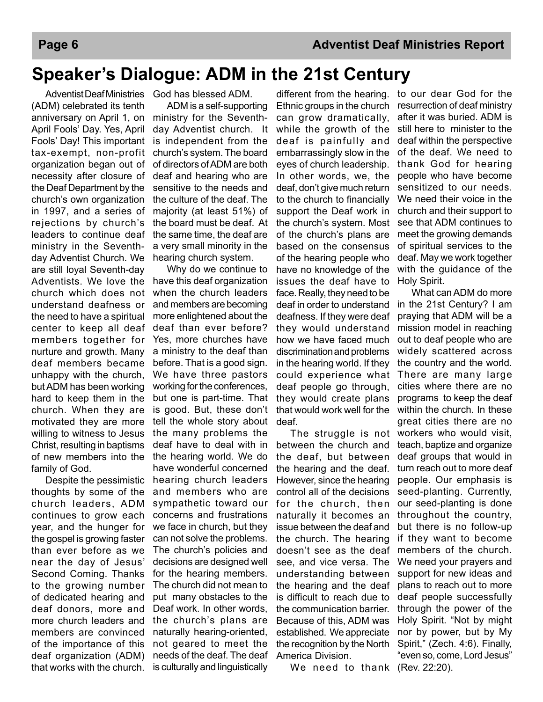## **Speaker's Dialogue: ADM in the 21st Century**

 Adventist Deaf Ministries God has blessed ADM. (ADM) celebrated its tenth anniversary on April 1, on April Fools' Day. Yes, April Fools' Day! This important tax-exempt, non-profit organization began out of necessity after closure of the Deaf Department by the church's own organization in 1997, and a series of rejections by church's leaders to continue deaf ministry in the Seventhday Adventist Church. We are still loyal Seventh-day Adventists. We love the church which does not understand deafness or the need to have a spiritual center to keep all deaf members together for nurture and growth. Many deaf members became unhappy with the church, but ADM has been working hard to keep them in the church. When they are motivated they are more willing to witness to Jesus Christ, resulting in baptisms of new members into the family of God.

 Despite the pessimistic thoughts by some of the church leaders, ADM continues to grow each year, and the hunger for the gospel is growing faster than ever before as we near the day of Jesus' Second Coming. Thanks to the growing number of dedicated hearing and deaf donors, more and more church leaders and members are convinced of the importance of this deaf organization (ADM) that works with the church. is culturally and linguistically

 ADM is a self-supporting ministry for the Seventhday Adventist church. It is independent from the church's system. The board of directors of ADM are both deaf and hearing who are sensitive to the needs and the culture of the deaf. The majority (at least 51%) of the board must be deaf. At the same time, the deaf are a very small minority in the hearing church system.

 Why do we continue to have this deaf organization when the church leaders and members are becoming more enlightened about the deaf than ever before? Yes, more churches have a ministry to the deaf than before. That is a good sign. We have three pastors working for the conferences, but one is part-time. That is good. But, these don't tell the whole story about the many problems the deaf have to deal with in the hearing world. We do have wonderful concerned hearing church leaders and members who are sympathetic toward our concerns and frustrations we face in church, but they can not solve the problems. The church's policies and decisions are designed well for the hearing members. The church did not mean to put many obstacles to the Deaf work. In other words, the church's plans are naturally hearing-oriented, not geared to meet the needs of the deaf. The deaf

different from the hearing. to our dear God for the Ethnic groups in the church can grow dramatically, while the growth of the deaf is painfully and embarrassingly slow in the eyes of church leadership. In other words, we, the deaf, don't give much return to the church to financially support the Deaf work in the church's system. Most of the church's plans are based on the consensus of the hearing people who have no knowledge of the issues the deaf have to face. Really, they need to be deaf in order to understand deafness. If they were deaf they would understand how we have faced much discrimination and problems in the hearing world. If they could experience what deaf people go through, they would create plans that would work well for the deaf.

 The struggle is not between the church and the deaf, but between the hearing and the deaf. However, since the hearing control all of the decisions for the church, then naturally it becomes an issue between the deaf and the church. The hearing doesn't see as the deaf see, and vice versa. The understanding between the hearing and the deaf is difficult to reach due to the communication barrier. Because of this, ADM was established. We appreciate the recognition by the North America Division.

We need to thank (Rev. 22:20).

resurrection of deaf ministry after it was buried. ADM is still here to minister to the deaf within the perspective of the deaf. We need to thank God for hearing people who have become sensitized to our needs. We need their voice in the church and their support to see that ADM continues to meet the growing demands of spiritual services to the deaf. May we work together with the quidance of the Holy Spirit.

 What can ADM do more in the 21st Century? I am praying that ADM will be a mission model in reaching out to deaf people who are widely scattered across the country and the world. There are many large cities where there are no programs to keep the deaf within the church. In these great cities there are no workers who would visit, teach, baptize and organize deaf groups that would in turn reach out to more deaf people. Our emphasis is seed-planting. Currently, our seed-planting is done throughout the country, but there is no follow-up if they want to become members of the church. We need your prayers and support for new ideas and plans to reach out to more deaf people successfully through the power of the Holy Spirit. "Not by might nor by power, but by My Spirit," (Zech. 4:6). Finally, "even so, come, Lord Jesus"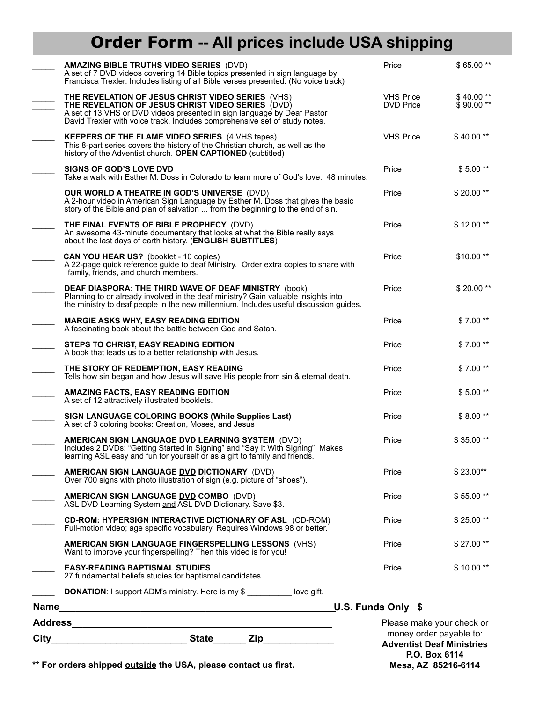## **Order Form -- All prices include USA shipping**

| <b>State</b><br>City<br>Zip<br><u> 1990 - Johann John Stone, martin a</u>                                                                                                                                                                                       |                    | money order payable to:<br><b>Adventist Deaf Ministries</b> |                         |
|-----------------------------------------------------------------------------------------------------------------------------------------------------------------------------------------------------------------------------------------------------------------|--------------------|-------------------------------------------------------------|-------------------------|
| Address<br><u> 1989 - Johann John Stone, mars eta bainar eta bainar eta baina eta baina eta baina eta baina eta baina eta b</u>                                                                                                                                 |                    | Please make your check or                                   |                         |
| <b>DONATION:</b> I support ADM's ministry. Here is my \$ _________ love gift.<br>Name                                                                                                                                                                           | U.S. Funds Only \$ |                                                             |                         |
| 27 fundamental beliefs studies for baptismal candidates.                                                                                                                                                                                                        |                    | Price                                                       |                         |
| AMERICAN SIGN LANGUAGE FINGERSPELLING LESSONS (VHS)<br>Want to improve your fingerspelling? Then this video is for you!<br><b>EASY-READING BAPTISMAL STUDIES</b>                                                                                                |                    | Price                                                       | \$27.00**<br>\$10.00**  |
| <b>CD-ROM: HYPERSIGN INTERACTIVE DICTIONARY OF ASL (CD-ROM)</b><br>Full-motion video; age specific vocabulary. Requires Windows 98 or better.                                                                                                                   |                    | Price                                                       | \$25.00**               |
| AMERICAN SIGN LANGUAGE DVD COMBO (DVD)<br>ASL DVD Learning System and ASL DVD Dictionary. Save \$3.                                                                                                                                                             |                    | Price                                                       | \$55.00**               |
| AMERICAN SIGN LANGUAGE DVD DICTIONARY (DVD)<br>Over 700 signs with photo illustration of sign (e.g. picture of "shoes").                                                                                                                                        |                    | Price                                                       | $$23.00**$              |
| AMERICAN SIGN LANGUAGE DVD LEARNING SYSTEM (DVD)<br>Includes 2 DVDs: "Getting Started in Signing" and "Say It With Signing". Makes<br>learning ASL easy and fun for yourself or as a gift to family and friends.                                                |                    | Price                                                       | \$35.00**               |
| SIGN LANGUAGE COLORING BOOKS (While Supplies Last)<br>A set of 3 coloring books: Creation, Moses, and Jesus                                                                                                                                                     |                    | Price                                                       | \$8.00**                |
| <b>AMAZING FACTS, EASY READING EDITION</b><br>A set of 12 attractively illustrated booklets.                                                                                                                                                                    |                    | Price                                                       | $$5.00**$               |
| THE STORY OF REDEMPTION, EASY READING<br>Tells how sin began and how Jesus will save His people from sin & eternal death.                                                                                                                                       |                    | Price                                                       | $$7.00**$               |
| STEPS TO CHRIST, EASY READING EDITION<br>A book that leads us to a better relationship with Jesus.                                                                                                                                                              |                    | Price                                                       | $$7.00**$               |
| <b>MARGIE ASKS WHY, EASY READING EDITION</b><br>A fascinating book about the battle between God and Satan.                                                                                                                                                      |                    | Price                                                       | $$7.00**$               |
| <b>DEAF DIASPORA: THE THIRD WAVE OF DEAF MINISTRY (book)</b><br>Planning to or already involved in the deaf ministry? Gain valuable insights into<br>the ministry to deaf people in the new millennium. Includes useful discussion guides.                      |                    | Price                                                       | \$20.00**               |
| <b>CAN YOU HEAR US?</b> (booklet - 10 copies)<br>A 22-page quick reference guide to deaf Ministry. Order extra copies to share with<br>family, friends, and church members.                                                                                     |                    | Price                                                       | \$10.00**               |
| THE FINAL EVENTS OF BIBLE PROPHECY (DVD)<br>An awesome 43-minute documentary that looks at what the Bible really says<br>about the last days of earth history. (ENGLISH SUBTITLES)                                                                              |                    | Price                                                       | \$12.00**               |
| <b>OUR WORLD A THEATRE IN GOD'S UNIVERSE (DVD)</b><br>A 2-hour video in American Sign Language by Esther M. Doss that gives the basic<br>story of the Bible and plan of salvation  from the beginning to the end of sin.                                        |                    | Price                                                       | $$20.00**$              |
| <b>SIGNS OF GOD'S LOVE DVD</b><br>Take a walk with Esther M. Doss in Colorado to learn more of God's love. 48 minutes.                                                                                                                                          |                    | Price                                                       | $$5.00**$               |
| <b>KEEPERS OF THE FLAME VIDEO SERIES</b> (4 VHS tapes)<br>This 8-part series covers the history of the Christian church, as well as the<br>history of the Adventist church. OPEN CAPTIONED (subtitled)                                                          |                    | <b>VHS Price</b>                                            | $$40.00**$              |
| THE REVELATION OF JESUS CHRIST VIDEO SERIES (VHS)<br>THE REVELATION OF JESUS CHRIST VIDEO SERIES (DVD)<br>A set of 13 VHS or DVD videos presented in sign language by Deaf Pastor<br>David Trexler with voice track. Includes comprehensive set of study notes. |                    | <b>VHS Price</b><br><b>DVD Price</b>                        | \$40.00**<br>$$90.00**$ |
| <b>AMAZING BIBLE TRUTHS VIDEO SERIES (DVD)</b><br>A set of 7 DVD videos covering 14 Bible topics presented in sign language by<br>Francisca Trexler. Includes listing of all Bible verses presented. (No voice track)                                           |                    | Price                                                       | \$65.00**               |
|                                                                                                                                                                                                                                                                 |                    |                                                             |                         |

**P.O. Box 6114 Mesa, AZ 85216-6114**

\*\* For orders shipped **outside** the USA, please contact us first.